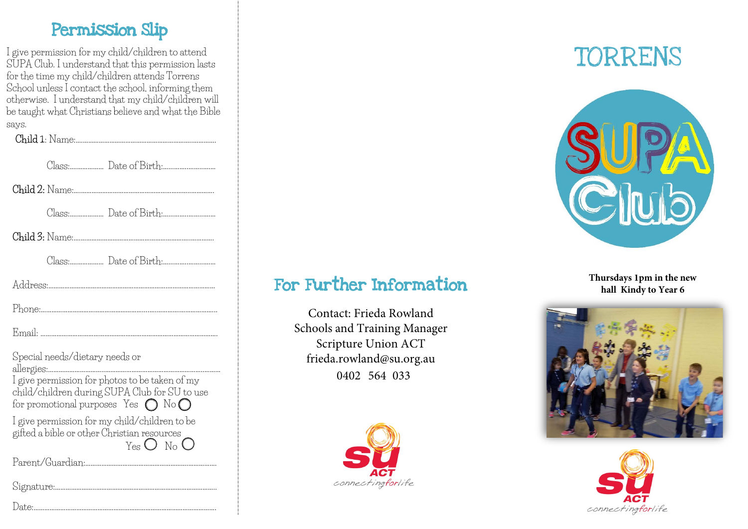#### Permission Slip

I give permission for my child/children to attend SUPA Club. I understand that this permission lasts for the time my child/children attends Torrens School unless I contact the school, informing them otherwise. I understand that my child/children will be taught what Christians believe and what the Bible says.

**Child** 1: Name:….……………………………………………………..………….

| Special needs/dietary needs or<br>allergies:<br>I give permission for photos to be taken of my<br>child/children during SUPA Club for SU to use<br>for promotional purposes Yes $\bigcap$ No $\bigcap$ |
|--------------------------------------------------------------------------------------------------------------------------------------------------------------------------------------------------------|
| I give permission for my child/children to be<br>gifted a bible or other Christian resources<br>Yes $O$ No $O$                                                                                         |
|                                                                                                                                                                                                        |

Signature:…………………..…………………………………………………………..

# For Further Information

Contact: Frieda Rowland Schools and Training Manager Scripture Union ACT frie[da.rowland@su.or](mailto:ali@suact.org.au)g.au 0402 564 033



TORRENS



**Thursdays 1pm in the new hall Kindy to Year 6** 





Date:………………………………………………………………………………………….